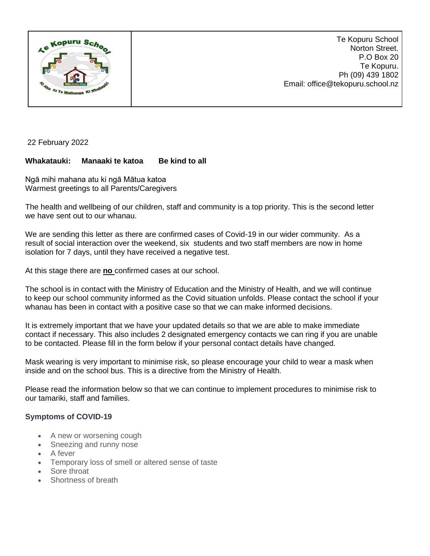

22 February 2022

## **Whakatauki: Manaaki te katoa Be kind to all**

Ngā mihi mahana atu ki ngā Mātua katoa Warmest greetings to all Parents/Caregivers

The health and wellbeing of our children, staff and community is a top priority. This is the second letter we have sent out to our whanau.

We are sending this letter as there are confirmed cases of Covid-19 in our wider community. As a result of social interaction over the weekend, six students and two staff members are now in home isolation for 7 days, until they have received a negative test.

At this stage there are **no** confirmed cases at our school.

The school is in contact with the Ministry of Education and the Ministry of Health, and we will continue to keep our school community informed as the Covid situation unfolds. Please contact the school if your whanau has been in contact with a positive case so that we can make informed decisions.

It is extremely important that we have your updated details so that we are able to make immediate contact if necessary. This also includes 2 designated emergency contacts we can ring if you are unable to be contacted. Please fill in the form below if your personal contact details have changed.

Mask wearing is very important to minimise risk, so please encourage your child to wear a mask when inside and on the school bus. This is a directive from the Ministry of Health.

Please read the information below so that we can continue to implement procedures to minimise risk to our tamariki, staff and families.

## **Symptoms of COVID-19**

- A new or worsening cough
- Sneezing and runny nose
- A fever
- Temporary loss of smell or altered sense of taste
- Sore throat
- Shortness of breath